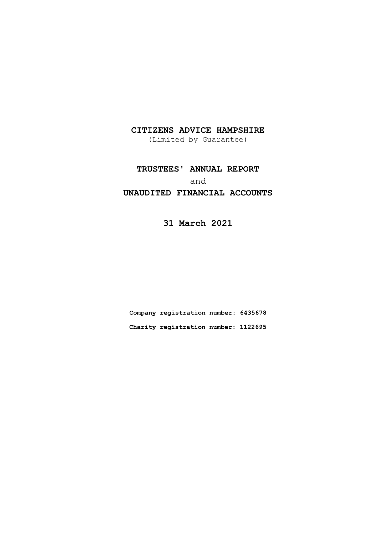(Limited by Guarantee)

# **TRUSTEES' ANNUAL REPORT** and

## **UNAUDITED FINANCIAL ACCOUNTS**

**31 March 2021**

**Company registration number: 6435678 Charity registration number: 1122695**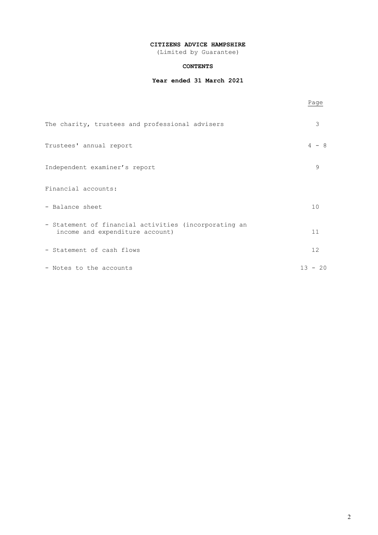(Limited by Guarantee)

### **CONTENTS**

### **Year ended 31 March 2021**

|                                                                                          | Page         |
|------------------------------------------------------------------------------------------|--------------|
| The charity, trustees and professional advisers                                          | 3            |
| Trustees' annual report                                                                  | $4 - 8$      |
| Independent examiner's report                                                            | 9            |
| Financial accounts:                                                                      |              |
| - Balance sheet                                                                          | 10           |
| - Statement of financial activities (incorporating an<br>income and expenditure account) | 11           |
| - Statement of cash flows                                                                | 12           |
| - Notes to the accounts                                                                  | $13 -$<br>20 |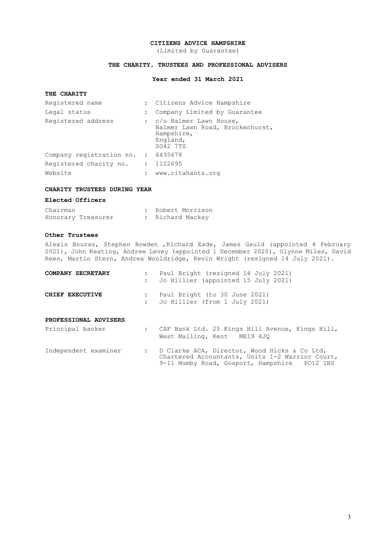(Limited by Guarantee)

### **THE CHARITY, TRUSTEES AND PROFESSIONAL ADVISERS**

### **Year ended 31 March 2021**

### **THE CHARITY**

| Registered name                    |                      | : Citizens Advice Hampshire                                                                       |
|------------------------------------|----------------------|---------------------------------------------------------------------------------------------------|
| Legal status                       |                      | : Company Limited by Guarantee                                                                    |
| Registered address                 |                      | : c/o Balmer Lawn House,<br>Balmer Lawn Road, Brockenhurst,<br>Hampshire,<br>England,<br>SO42 7TS |
| Company registration no. : 6435678 |                      |                                                                                                   |
| Registered charity no.             |                      | : 1122695                                                                                         |
| Website                            | $\ddot{\phantom{a}}$ | www.citahants.org                                                                                 |

### **CHARITY TRUSTEES DURING YEAR**

### **Elected Officers**

| Chairman |                    |  | : Robert Morrison |
|----------|--------------------|--|-------------------|
|          | Honorary Treasurer |  | : Richard Mackay  |

### **Other Trustees**

Alexis Bouras, Stephen Bowden ,Richard Eade, James Gauld (appointed 4 February 2021), John Keating, Andrew Levey (appointed 1 December 2020), Glynne Miles, David Rees, Martin Stern, Andrea Wooldridge, Kevin Wright (resigned 14 July 2021).

| COMPANY SECRETARY     | $\mathbf{L}$ | Paul Bright (resigned 14 July 2021)<br>Jo Hillier (appointed 15 July 2021)     |
|-----------------------|--------------|--------------------------------------------------------------------------------|
| CHIEF EXECUTIVE       |              | Paul Bright (to 30 June 2021)<br>: Jo Hillier (from 1 July 2021)               |
| PROFESSIONAL ADVISERS |              |                                                                                |
| Principal banker      | $\mathbf{L}$ | CAF Bank Ltd. 25 Kings Hill Avenue, Kings Hill,<br>West Malling, Kent ME19 4JO |

| Independent examiner |  |  | D Clarke ACA, Director, Wood Hicks & Co Ltd,    |  |  |          |
|----------------------|--|--|-------------------------------------------------|--|--|----------|
|                      |  |  | Chartered Accountants, Units 1-2 Warrior Court, |  |  |          |
|                      |  |  | 9-11 Mumby Road, Gosport, Hampshire             |  |  | PO12 1BS |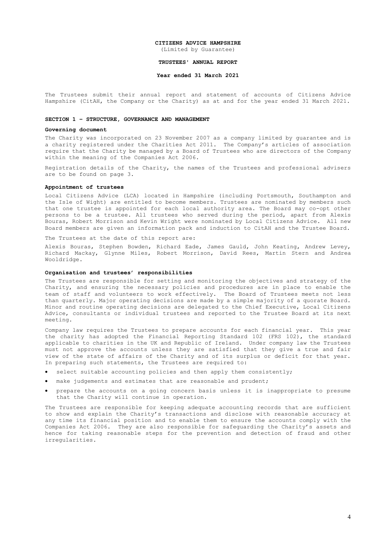(Limited by Guarantee)

#### **TRUSTEES' ANNUAL REPORT**

### **Year ended 31 March 2021**

The Trustees submit their annual report and statement of accounts of Citizens Advice Hampshire (CitAH, the Company or the Charity) as at and for the year ended 31 March 2021.

#### **SECTION 1 – STRUCTURE, GOVERNANCE AND MANAGEMENT**

### **Governing document**

The Charity was incorporated on 23 November 2007 as a company limited by guarantee and is a charity registered under the Charities Act 2011. The Company's articles of association require that the Charity be managed by a Board of Trustees who are directors of the Company within the meaning of the Companies Act 2006.

Registration details of the Charity, the names of the Trustees and professional advisers are to be found on page 3.

#### **Appointment of trustees**

Local Citizens Advice (LCA) located in Hampshire (including Portsmouth, Southampton and the Isle of Wight) are entitled to become members. Trustees are nominated by members such that one trustee is appointed for each local authority area. The Board may co-opt other persons to be a trustee. All trustees who served during the period, apart from Alexis .<br>Bouras, Robert Morrison and Kevin Wright were nominated by Local Citizens Advice. All new Board members are given an information pack and induction to CitAH and the Trustee Board.

The Trustees at the date of this report are:

Alexis Bouras, Stephen Bowden, Richard Eade, James Gauld, John Keating, Andrew Levey, Richard Mackay, Glynne Miles, Robert Morrison, David Rees, Martin Stern and Andrea Wooldridge.

#### **Organisation and trustees' responsibilities**

The Trustees are responsible for setting and monitoring the objectives and strategy of the Charity, and ensuring the necessary policies and procedures are in place to enable the team of staff and volunteers to work effectively. The Board of Trustees meets not less than quarterly. Major operating decisions are made by a simple majority of a quorate Board. Minor and routine operating decisions are delegated to the Chief Executive, Local Citizens Advice, consultants or individual trustees and reported to the Trustee Board at its next meeting.

Company law requires the Trustees to prepare accounts for each financial year. This year the charity has adopted the Financial Reporting Standard 102 (FRS 102), the standard applicable to charities in the UK and Republic of Ireland. Under company law the Trustees must not approve the accounts unless they are satisfied that they give a true and fair view of the state of affairs of the Charity and of its surplus or deficit for that year. In preparing such statements, the Trustees are required to:

- select suitable accounting policies and then apply them consistently;
- make judgements and estimates that are reasonable and prudent;
- prepare the accounts on a going concern basis unless it is inappropriate to presume that the Charity will continue in operation.

The Trustees are responsible for keeping adequate accounting records that are sufficient to show and explain the Charity's transactions and disclose with reasonable accuracy at any time its financial position and to enable them to ensure the accounts comply with the Companies Act 2006. They are also responsible for safeguarding the Charity's assets and hence for taking reasonable steps for the prevention and detection of fraud and other irregularities.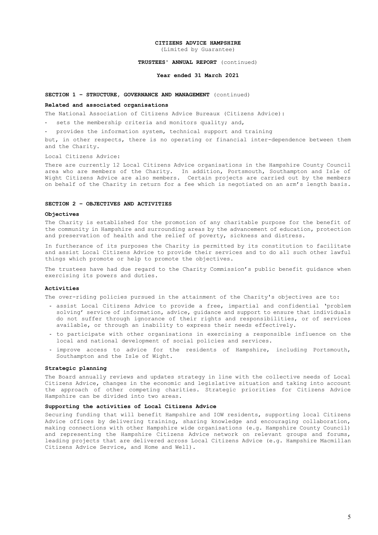(Limited by Guarantee)

### **TRUSTEES' ANNUAL REPORT** (continued)

### **Year ended 31 March 2021**

### **SECTION 1 – STRUCTURE, GOVERNANCE AND MANAGEMENT** (continued)

#### **Related and associated organisations**

The National Association of Citizens Advice Bureaux (Citizens Advice):

- sets the membership criteria and monitors quality; and,
- provides the information system, technical support and training

but, in other respects, there is no operating or financial inter-dependence between them and the Charity.

Local Citizens Advice:

There are currently 12 Local Citizens Advice organisations in the Hampshire County Council area who are members of the Charity. In addition, Portsmouth, Southampton and Isle of Wight Citizens Advice are also members. Certain projects are carried out by the members on behalf of the Charity in return for a fee which is negotiated on an arm's length basis.

### **SECTION 2 – OBJECTIVES AND ACTIVITIES**

#### **Objectives**

The Charity is established for the promotion of any charitable purpose for the benefit of the community in Hampshire and surrounding areas by the advancement of education, protection and preservation of health and the relief of poverty, sickness and distress.

In furtherance of its purposes the Charity is permitted by its constitution to facilitate and assist Local Citizens Advice to provide their services and to do all such other lawful things which promote or help to promote the objectives.

The trustees have had due regard to the Charity Commission's public benefit guidance when exercising its powers and duties.

#### **Activities**

The over-riding policies pursued in the attainment of the Charity's objectives are to:

- assist Local Citizens Advice to provide a free, impartial and confidential 'problem solving' service of information, advice, guidance and support to ensure that individuals do not suffer through ignorance of their rights and responsibilities, or of services available, or through an inability to express their needs effectively.
- to participate with other organisations in exercising a responsible influence on the local and national development of social policies and services.
- improve access to advice for the residents of Hampshire, including Portsmouth, Southampton and the Isle of Wight.

#### **Strategic planning**

The Board annually reviews and updates strategy in line with the collective needs of Local Citizens Advice, changes in the economic and legislative situation and taking into account the approach of other competing charities. Strategic priorities for Citizens Advice Hampshire can be divided into two areas.

### **Supporting the activities of Local Citizens Advice**

Securing funding that will benefit Hampshire and IOW residents, supporting local Citizens Advice offices by delivering training, sharing knowledge and encouraging collaboration, making connections with other Hampshire wide organisations (e.g. Hampshire County Council) and representing the Hampshire Citizens Advice network on relevant groups and forums, leading projects that are delivered across Local Citizens Advice (e.g. Hampshire Macmillan Citizens Advice Service, and Home and Well).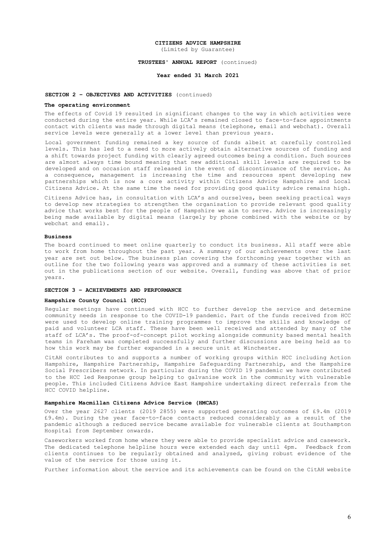(Limited by Guarantee)

#### **TRUSTEES' ANNUAL REPORT** (continued)

### **Year ended 31 March 2021**

### **SECTION 2 – OBJECTIVES AND ACTIVITIES** (continued)

#### **The operating environment**

The effects of Covid 19 resulted in significant changes to the way in which activities were conducted during the entire year. While LCA's remained closed to face-to-face appointments contact with clients was made through digital means (telephone, email and webchat). Overall service levels were generally at a lower level than previous years.

Local government funding remained a key source of funds albeit at carefully controlled levels. This has led to a need to more actively obtain alternative sources of funding and a shift towards project funding with clearly agreed outcomes being a condition. Such sources are almost always time bound meaning that new additional skill levels are required to be developed and on occasion staff released in the event of discontinuance of the service. As a consequence, management is increasing the time and resources spent developing new partnerships which is now a core activity within Citizens Advice Hampshire and Local Citizens Advice. At the same time the need for providing good quality advice remains high.

Citizens Advice has, in consultation with LCA's and ourselves, been seeking practical ways to develop new strategies to strengthen the organisation to provide relevant good quality advice that works best for the people of Hampshire we aim to serve. Advice is increasingly being made available by digital means (largely by phone combined with the website or by webchat and email).

#### **Business**

The board continued to meet online quarterly to conduct its business. All staff were able to work from home throughout the past year. A summary of our achievements over the last year are set out below. The business plan covering the forthcoming year together with an outline for the two following years was approved and a summary of these activities is set out in the publications section of our website. Overall, funding was above that of prior years.

#### **SECTION 3 – ACHIEVEMENTS AND PERFORMANCE**

#### **Hampshire County Council (HCC)**

Regular meetings have continued with HCC to further develop the service and determine community needs in response to the COVID-19 pandemic. Part of the funds received from HCC were used to develop online training programmes to improve the skills and knowledge of paid and volunteer LCA staff. These have been well received and attended by many of the staff of LCA's. The proof-of-concept pilot working alongside community based mental health teams in Fareham was completed successfully and further discussions are being held as to how this work may be further expanded in a secure unit at Winchester.

CitAH contributes to and supports a number of working groups within HCC including Action Hampshire, Hampshire Partnership, Hampshire Safeguarding Partnership, and the Hampshire Social Prescribers network. In particular during the COVID 19 pandemic we have contributed to the HCC led Response group helping to galvanise work in the community with vulnerable people. This included Citizens Advice East Hampshire undertaking direct referrals from the HCC COVID helpline.

### **Hampshire Macmillan Citizens Advice Service (HMCAS)**

Over the year 2627 clients (2019 2855) were supported generating outcomes of £9.4m (2019 £9.4m). During the year face-to-face contacts reduced considerably as a result of the pandemic although a reduced service became available for vulnerable clients at Southampton Hospital from September onwards.

Caseworkers worked from home where they were able to provide specialist advice and casework. The dedicated telephone helpline hours were extended each day until 4pm. Feedback from clients continues to be regularly obtained and analysed, giving robust evidence of the value of the service for those using it.

Further information about the service and its achievements can be found on the CitAH website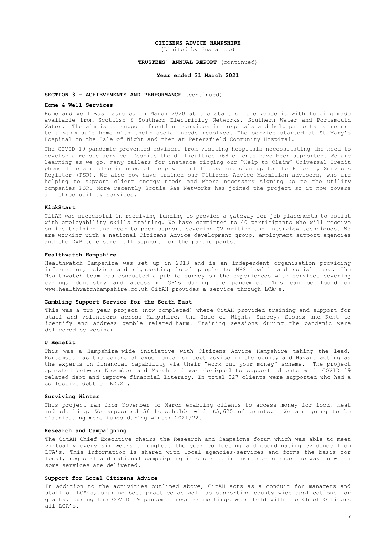(Limited by Guarantee)

#### **TRUSTEES' ANNUAL REPORT** (continued)

### **Year ended 31 March 2021**

### **SECTION 3 – ACHIEVEMENTS AND PERFORMANCE** (continued)

#### **Home & Well Services**

Home and Well was launched in March 2020 at the start of the pandemic with funding made available from Scottish & Southern Electricity Networks, Southern Water and Portsmouth Water. The aim is to support frontline services in hospitals and help patients to return to a warm safe home with their social needs resolved. The service started at St Mary's Hospital on the Isle of Wight and then at Petersfield Community Hospital.

The COVID-19 pandemic prevented advisers from visiting hospitals necessitating the need to develop a remote service. Despite the difficulties 768 clients have been supported. We are learning as we go, many callers for instance ringing our "Help to Claim" Universal Credit phone line are also in need of help with utilities and sign up to the Priority Services .<br>Register (PSR). We also now have trained our Citizens Advice Macmillan advisers, who are helping to support client energy needs and where necessary signing up to the utility companies PSR. More recently Scotia Gas Networks has joined the project so it now covers all three utility services.

### **KickStart**

CitAH was successful in receiving funding to provide a gateway for job placements to assist with employability skills training. We have committed to 40 participants who will receive online training and peer to peer support covering CV writing and interview techniques. We are working with a national Citizens Advice development group, employment support agencies and the DWP to ensure full support for the participants.

#### **Healthwatch Hampshire**

Healthwatch Hampshire was set up in 2013 and is an independent organisation providing information, advice and signposting local people to NHS health and social care. The Healthwatch team has conducted a public survey on the experiences with services covering caring, dentistry and accessing GP's during the pandemic. This can be found on [www.healthwatchhampshire.co.uk](http://www.healthwatchhampshire.co.uk/) CitAH provides a service through LCA's.

### **Gambling Support Service for the South East**

This was a two-year project (now completed) where CitAH provided training and support for staff and volunteers across Hampshire, the Isle of Wight, Surrey, Sussex and Kent to identify and address gamble related-harm. Training sessions during the pandemic were delivered by webinar

#### **U Benefit**

This was a Hampshire-wide initiative with Citizens Advice Hampshire taking the lead, Portsmouth as the centre of excellence for debt advice in the county and Havant acting as the experts in financial capability via their "work out your money" scheme. The project operated between November and March and was designed to support clients with COVID 19 related debt and improve financial literacy. In total 327 clients were supported who had a collective debt of £2.2m.

#### **Surviving Winter**

This project ran from November to March enabling clients to access money for food, heat and clothing. We supported 56 households with  $£5,625$  of grants. We are going to be distributing more funds during winter 2021/22.

#### **Research and Campaigning**

The CitAH Chief Executive chairs the Research and Campaigns forum which was able to meet virtually every six weeks throughout the year collecting and coordinating evidence from LCA's. This information is shared with local agencies/services and forms the basis for local, regional and national campaigning in order to influence or change the way in which some services are delivered.

### **Support for Local Citizens Advice**

In addition to the activities outlined above, CitAH acts as a conduit for managers and staff of LCA's, sharing best practice as well as supporting county wide applications for grants. During the COVID 19 pandemic regular meetings were held with the Chief Officers all LCA's.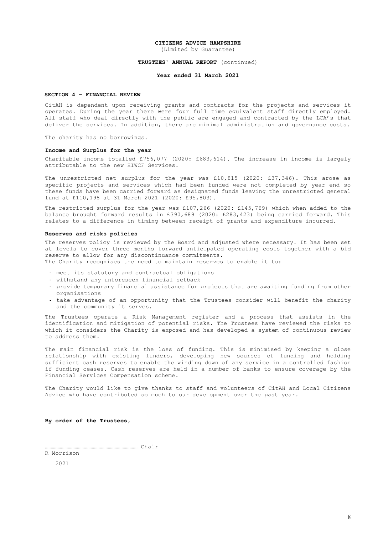(Limited by Guarantee)

### **TRUSTEES' ANNUAL REPORT** (continued)

### **Year ended 31 March 2021**

### **SECTION 4 – FINANCIAL REVIEW**

CitAH is dependent upon receiving grants and contracts for the projects and services it operates. During the year there were four full time equivalent staff directly employed. All staff who deal directly with the public are engaged and contracted by the LCA's that deliver the services. In addition, there are minimal administration and governance costs.

The charity has no borrowings.

#### **Income and Surplus for the year**

Charitable income totalled £756,077 (2020: £683,614). The increase in income is largely attributable to the new HIWCF Services.

The unrestricted net surplus for the year was £10,815 (2020: £37,346). This arose as specific projects and services which had been funded were not completed by year end so these funds have been carried forward as designated funds leaving the unrestricted general fund at £110,198 at 31 March 2021 (2020: £95,803).

The restricted surplus for the year was £107,266 (2020: £145,769) which when added to the balance brought forward results in £390,689 (2020: £283,423) being carried forward. This relates to a difference in timing between receipt of grants and expenditure incurred.

### **Reserves and risks policies**

The reserves policy is reviewed by the Board and adjusted where necessary. It has been set at levels to cover three months forward anticipated operating costs together with a bid reserve to allow for any discontinuance commitments. The Charity recognises the need to maintain reserves to enable it to:

- meet its statutory and contractual obligations
- withstand any unforeseen financial setback
- provide temporary financial assistance for projects that are awaiting funding from other organisations
- take advantage of an opportunity that the Trustees consider will benefit the charity and the community it serves.

The Trustees operate a Risk Management register and a process that assists in the identification and mitigation of potential risks. The Trustees have reviewed the risks to which it considers the Charity is exposed and has developed a system of continuous review to address them.

The main financial risk is the loss of funding. This is minimised by keeping a close relationship with existing funders, developing new sources of funding and holding sufficient cash reserves to enable the winding down of any service in a controlled fashion if funding ceases. Cash reserves are held in a number of banks to ensure coverage by the Financial Services Compensation scheme.

The Charity would like to give thanks to staff and volunteers of CitAH and Local Citizens Advice who have contributed so much to our development over the past year.

### **By order of the Trustees,**

……………………………………………………………………… Chair R Morrison

2021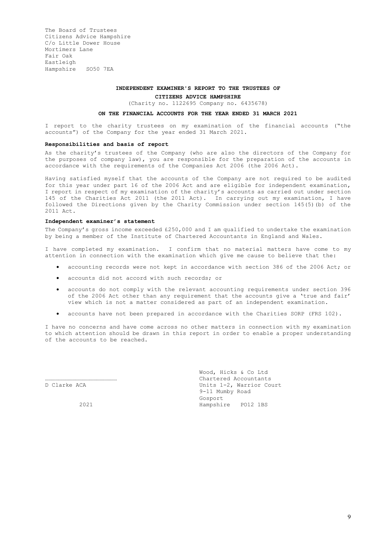### **INDEPENDENT EXAMINER'S REPORT TO THE TRUSTEES OF**

**CITIZENS ADVICE HAMPSHIRE**

(Charity no. 1122695 Company no. 6435678)

### **ON THE FINANCIAL ACCOUNTS FOR THE YEAR ENDED 31 MARCH 2021**

I report to the charity trustees on my examination of the financial accounts ("the accounts") of the Company for the year ended 31 March 2021.

#### **Responsibilities and basis of report**

As the charity's trustees of the Company (who are also the directors of the Company for the purposes of company law), you are responsible for the preparation of the accounts in accordance with the requirements of the Companies Act 2006 (the 2006 Act).

Having satisfied myself that the accounts of the Company are not required to be audited for this year under part 16 of the 2006 Act and are eligible for independent examination, I report in respect of my examination of the charity's accounts as carried out under section 145 of the Charities Act 2011 (the 2011 Act). In carrying out my examination, I have followed the Directions given by the Charity Commission under section 145(5)(b) of the 2011 Act.

### **Independent examiner's statement**

The Company's gross income exceeded £250,000 and I am qualified to undertake the examination by being a member of the Institute of Chartered Accountants in England and Wales.

I have completed my examination. I confirm that no material matters have come to my attention in connection with the examination which give me cause to believe that the:

- accounting records were not kept in accordance with section 386 of the 2006 Act; or
- accounts did not accord with such records; or
- accounts do not comply with the relevant accounting requirements under section 396 of the 2006 Act other than any requirement that the accounts give a 'true and fair' view which is not a matter considered as part of an independent examination.
- accounts have not been prepared in accordance with the Charities SORP (FRS 102).

I have no concerns and have come across no other matters in connection with my examination to which attention should be drawn in this report in order to enable a proper understanding of the accounts to be reached.

 Wood, Hicks & Co Ltd ……………………………………………………… Chartered Accountants D Clarke ACA 
Units 1-2, Warrior Court

Units 1-2, Warrior Court 9-11 Mumby Road Gosport 2021 Hampshire PO12 1BS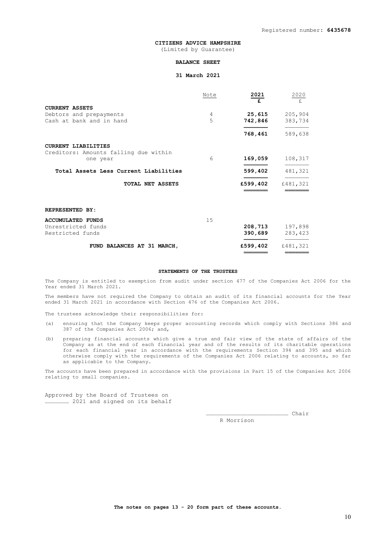(Limited by Guarantee)

### **BALANCE SHEET**

### **31 March 2021**

|                                                   | Note | 2021<br>£ | 2020<br>£ |
|---------------------------------------------------|------|-----------|-----------|
| <b>CURRENT ASSETS</b>                             |      |           |           |
| Debtors and prepayments                           | 4    | 25,615    | 205,904   |
| Cash at bank and in hand                          | 5    | 742,846   | 383,734   |
|                                                   |      | 768,461   | 589,638   |
| <b>CURRENT LIABILITIES</b>                        |      |           |           |
| Creditors: Amounts falling due within<br>one year | 6    | 169,059   | 108,317   |
| Total Assets Less Current Liabilities             |      | 599,402   | 481,321   |
| TOTAL NET ASSETS                                  |      | £599,402  | £481,321  |
| <b>REPRESENTED BY:</b>                            |      |           |           |
| <b>ACCUMULATED FUNDS</b>                          | 15   |           |           |
| Unrestricted funds                                |      | 208,713   | 197,898   |
| Restricted funds                                  |      | 390,689   | 283,423   |
| FUND BALANCES AT 31 MARCH,                        |      | £599,402  | £481,321  |

**═══════** ═══════

#### **STATEMENTS OF THE TRUSTEES**

The Company is entitled to exemption from audit under section 477 of the Companies Act 2006 for the Year ended 31 March 2021.

The members have not required the Company to obtain an audit of its financial accounts for the Year ended 31 March 2021 in accordance with Section 476 of the Companies Act 2006.

The trustees acknowledge their responsibilities for:

- (a) ensuring that the Company keeps proper accounting records which comply with Sections 386 and 387 of the Companies Act 2006; and,
- (b) preparing financial accounts which give a true and fair view of the state of affairs of the Company as at the end of each financial year and of the results of its charitable operations for each financial year in accordance with the requirements Section 394 and 395 and which otherwise comply with the requirements of the Companies Act 2006 relating to accounts, so far as applicable to the Company.

The accounts have been prepared in accordance with the provisions in Part 15 of the Companies Act 2006 relating to small companies.

Approved by the Board of Trustees on ………………… 2021 and signed on its behalf

> ……………………………………………………………… Chair R Morrison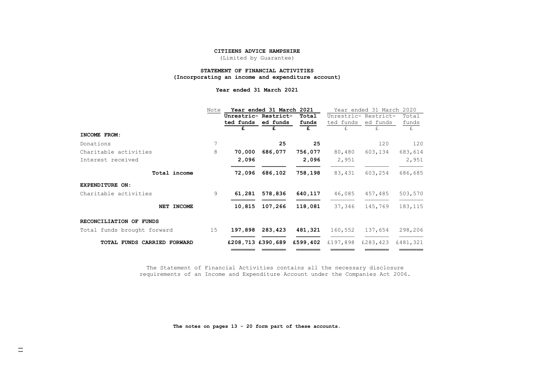(Limited by Guarantee)

### **STATEMENT OF FINANCIAL ACTIVITIES (Incorporating an income and expenditure account)**

**Year ended 31 March 2021**

|                             | Note | Year ended 31 March 2021 |                      |          | Year ended 31 March<br>2020 |                      |          |  |
|-----------------------------|------|--------------------------|----------------------|----------|-----------------------------|----------------------|----------|--|
|                             |      |                          | Unrestric- Restrict- | Total    |                             | Unrestric- Restrict- | Total    |  |
|                             |      | ted funds                | ed funds             | funds    | ted funds                   | ed funds             | funds    |  |
|                             |      | £                        | £                    | £        | £.                          | £.                   | £.       |  |
| INCOME FROM:                |      |                          |                      |          |                             |                      |          |  |
| Donations                   | 7    |                          | 25                   | 25       |                             | 120                  | 120      |  |
| Charitable activities       | 8    | 70,000                   | 686,077              | 756,077  | 80,480                      | 603,134              | 683,614  |  |
| Interest received           |      | 2,096                    |                      | 2,096    | 2,951                       |                      | 2,951    |  |
| Total income                |      | 72,096                   | 686,102              | 758,198  | 83,431                      | 603,254              | 686,685  |  |
| EXPENDITURE ON:             |      |                          |                      |          |                             |                      |          |  |
| Charitable activities       | 9    | 61,281                   | 578,836              | 640,117  | 46,085                      | 457,485              | 503,570  |  |
| NET INCOME                  |      | 10,815                   | 107,266              | 118,081  | 37,346                      | 145,769              | 183, 115 |  |
| RECONCILIATION OF FUNDS     |      |                          |                      |          |                             |                      |          |  |
| Total funds brought forward | 15   | 197,898                  | 283,423              | 481,321  | 160,552                     | 137,654              | 298,206  |  |
| TOTAL FUNDS CARRIED FORWARD |      |                          | £208,713 £390,689    | £599,402 | £197,898                    | £283,423             | £481,321 |  |
|                             |      |                          |                      |          |                             |                      |          |  |

The Statement of Financial Activities contains all the necessary disclosure requirements of an Income and Expenditure Account under the Companies Act 2006.

**The notes on pages 13 - 20 form part of these accounts.**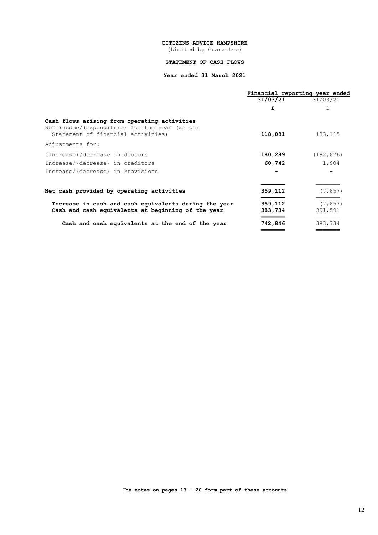(Limited by Guarantee)

### **STATEMENT OF CASH FLOWS**

### **Year ended 31 March 2021**

|                                                                                                                                      |                    | Financial reporting year ended |
|--------------------------------------------------------------------------------------------------------------------------------------|--------------------|--------------------------------|
|                                                                                                                                      | 31/03/21           | 31/03/20                       |
|                                                                                                                                      | £                  | £.                             |
| Cash flows arising from operating activities<br>Net income/ (expenditure) for the year (as per<br>Statement of financial activities) | 118,081            | 183, 115                       |
| Adjustments for:                                                                                                                     |                    |                                |
| (Increase)/decrease in debtors                                                                                                       | 180,289            | (192, 876)                     |
| Increase/(decrease) in creditors                                                                                                     | 60,742             | 1,904                          |
| Increase/(decrease) in Provisions                                                                                                    |                    |                                |
| Net cash provided by operating activities                                                                                            | 359,112            | (7, 857)                       |
| Increase in cash and cash equivalents during the year<br>Cash and cash equivalents at beginning of the year                          | 359,112<br>383,734 | (7, 857)<br>391,591            |
| Cash and cash equivalents at the end of the year                                                                                     | 742,846            | 383,734                        |
|                                                                                                                                      |                    |                                |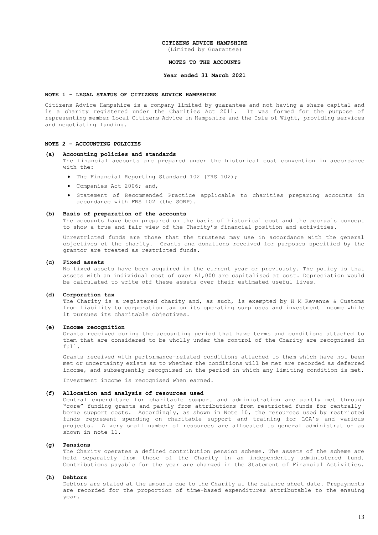(Limited by Guarantee)

### **NOTES TO THE ACCOUNTS**

#### **Year ended 31 March 2021**

### **NOTE 1 - LEGAL STATUS OF CITIZENS ADVICE HAMPSHIRE**

Citizens Advice Hampshire is a company limited by guarantee and not having a share capital and is a charity registered under the Charities Act 2011. It was formed for the purpose of representing member Local Citizens Advice in Hampshire and the Isle of Wight, providing services and negotiating funding.

### **NOTE 2 - ACCOUNTING POLICIES**

#### **(a) Accounting policies and standards**

The financial accounts are prepared under the historical cost convention in accordance with the:

- The Financial Reporting Standard 102 (FRS 102);
- Companies Act 2006; and,
- Statement of Recommended Practice applicable to charities preparing accounts in accordance with FRS 102 (the SORP).

#### **(b) Basis of preparation of the accounts**

The accounts have been prepared on the basis of historical cost and the accruals concept to show a true and fair view of the Charity's financial position and activities.

Unrestricted funds are those that the trustees may use in accordance with the general objectives of the charity. Grants and donations received for purposes specified by the grantor are treated as restricted funds.

### **(c) Fixed assets**

No fixed assets have been acquired in the current year or previously. The policy is that assets with an individual cost of over £1,000 are capitalised at cost. Depreciation would be calculated to write off these assets over their estimated useful lives.

### **(d) Corporation tax**

The Charity is a registered charity and, as such, is exempted by H M Revenue & Customs from liability to corporation tax on its operating surpluses and investment income while it pursues its charitable objectives.

#### **(e) Income recognition**

Grants received during the accounting period that have terms and conditions attached to them that are considered to be wholly under the control of the Charity are recognised in full.

Grants received with performance-related conditions attached to them which have not been met or uncertainty exists as to whether the conditions will be met are recorded as deferred income, and subsequently recognised in the period in which any limiting condition is met.

Investment income is recognised when earned.

### **(f) Allocation and analysis of resources used**

Central expenditure for charitable support and administration are partly met through "core" funding grants and partly from attributions from restricted funds for centrallyborne support costs. Accordingly, as shown in Note 10, the resources used by restricted funds represent spending on charitable support and training for LCA's and various projects. A very small number of resources are allocated to general administration as shown in note 11.

#### **(g) Pensions**

The Charity operates a defined contribution pension scheme. The assets of the scheme are held separately from those of the Charity in an independently administered fund. Contributions payable for the year are charged in the Statement of Financial Activities.

#### **(h) Debtors**

Debtors are stated at the amounts due to the Charity at the balance sheet date. Prepayments are recorded for the proportion of time-based expenditures attributable to the ensuing year.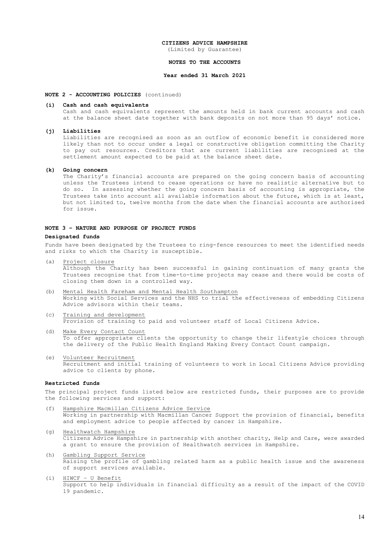(Limited by Guarantee)

### **NOTES TO THE ACCOUNTS**

### **Year ended 31 March 2021**

### **NOTE 2 - ACCOUNTING POLICIES** (continued)

### **(i) Cash and cash equivalents**

Cash and cash equivalents represent the amounts held in bank current accounts and cash at the balance sheet date together with bank deposits on not more than 95 days' notice.

#### **(j) Liabilities**

Liabilities are recognised as soon as an outflow of economic benefit is considered more likely than not to occur under a legal or constructive obligation committing the Charity to pay out resources. Creditors that are current liabilities are recognised at the settlement amount expected to be paid at the balance sheet date.

### **(k) Going concern**

The Charity's financial accounts are prepared on the going concern basis of accounting unless the Trustees intend to cease operations or have no realistic alternative but to do so. In assessing whether the going concern basis of accounting is appropriate, the Trustees take into account all available information about the future, which is at least, but not limited to, twelve months from the date when the financial accounts are authorised for issue.

### **NOTE 3 – NATURE AND PURPOSE OF PROJECT FUNDS**

#### **Designated funds**

Funds have been designated by the Trustees to ring-fence resources to meet the identified needs and risks to which the Charity is susceptible.

(a) Project closure

Although the Charity has been successful in gaining continuation of many grants the Trustees recognise that from time-to-time projects may cease and there would be costs of closing them down in a controlled way.

- (b) Mental Health Fareham and Mental Health Southampton Working with Social Services and the NHS to trial the effectiveness of embedding Citizens Advice advisors within their teams.
- (c) Training and development Provision of training to paid and volunteer staff of Local Citizens Advice.
- (d) Make Every Contact Count To offer appropriate clients the opportunity to change their lifestyle choices through the delivery of the Public Health England Making Every Contact Count campaign.
- (e) Volunteer Recruitment Recruitment and initial training of volunteers to work in Local Citizens Advice providing advice to clients by phone.

### **Restricted funds**

The principal project funds listed below are restricted funds, their purposes are to provide the following services and support:

- (f) Hampshire Macmillan Citizens Advice Service Working in partnership with Macmillan Cancer Support the provision of financial, benefits and employment advice to people affected by cancer in Hampshire.
- (g) Healthwatch Hampshire Citizens Advice Hampshire in partnership with another charity, Help and Care, were awarded a grant to ensure the provision of Healthwatch services in Hampshire.
- (h) Gambling Support Service Raising the profile of gambling related harm as a public health issue and the awareness of support services available.
- (i) HIWCF U Benefit Support to help individuals in financial difficulty as a result of the impact of the COVID 19 pandemic.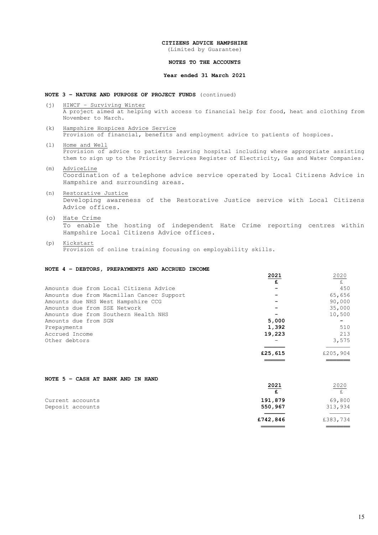(Limited by Guarantee)

### **NOTES TO THE ACCOUNTS**

### **Year ended 31 March 2021**

### **NOTE 3 – NATURE AND PURPOSE OF PROJECT FUNDS** (continued)

- (j) HIWCF Surviving Winter A project aimed at helping with access to financial help for food, heat and clothing from November to March.
- (k) Hampshire Hospices Advice Service Provision of financial, benefits and employment advice to patients of hospices.
- (l) Home and Well Provision of advice to patients leaving hospital including where appropriate assisting them to sign up to the Priority Services Register of Electricity, Gas and Water Companies.
- (m) AdviceLine Coordination of a telephone advice service operated by Local Citizens Advice in Hampshire and surrounding areas.
- (n) Restorative Justice Developing awareness of the Restorative Justice service with Local Citizens Advice offices.
- (o) Hate Crime To enable the hosting of independent Hate Crime reporting centres within Hampshire Local Citizens Advice offices.
- (p) Kickstart Provision of online training focusing on employability skills.

### **NOTE 4 – DEBTORS, PREPAYMENTS AND ACCRUED INCOME**

|                                           | 2021    | 2020     |
|-------------------------------------------|---------|----------|
|                                           | £       | £        |
| Amounts due from Local Citizens Advice    |         | 450      |
| Amounts due from Macmillan Cancer Support |         | 65,656   |
| Amounts due NHS West Hampshire CCG        |         | 90,000   |
| Amounts due from SSE Network              |         | 35,000   |
| Amounts due from Southern Health NHS      |         | 10,500   |
| Amounts due from SGN                      | 5,000   |          |
| Prepayments                               | 1,392   | 510      |
| Accrued Income                            | 19,223  | 213      |
| Other debtors                             |         | 3,575    |
|                                           | £25,615 | £205,904 |
|                                           |         |          |

| NOTE 5 - CASH AT BANK AND IN HAND |  |  |  |  |  |
|-----------------------------------|--|--|--|--|--|
|                                   |  |  |  |  |  |

|                  | 2021     | 2020     |
|------------------|----------|----------|
|                  |          |          |
| Current accounts | 191,879  | 69,800   |
| Deposit accounts | 550,967  | 313,934  |
|                  | £742,846 | £383,734 |

 **═══════** ═══════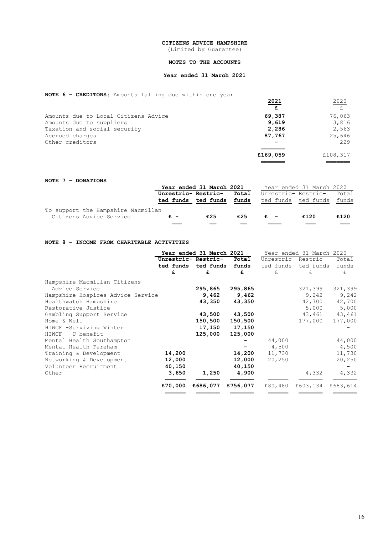(Limited by Guarantee)

### **NOTES TO THE ACCOUNTS**

### **Year ended 31 March 2021**

### **NOTE 6 – CREDITORS:** Amounts falling due within one year

|                                      | 2021     | 2020     |
|--------------------------------------|----------|----------|
|                                      | £        | E        |
| Amounts due to Local Citizens Advice | 69,387   | 76,063   |
| Amounts due to suppliers             | 9,619    | 3,816    |
| Taxation and social security         | 2,286    | 2,563    |
| Accrued charges                      | 87,767   | 25,646   |
| Other creditors                      |          | 229      |
|                                      | £169,059 | £108,317 |
|                                      |          |          |

### **NOTE 7 – DONATIONS**

|                                    |                     | Year ended 31 March 2021 |       |       | Year ended 31 March 2020  |      |
|------------------------------------|---------------------|--------------------------|-------|-------|---------------------------|------|
|                                    | Unrestric- Restric- |                          | Total |       | Unrestric- Restric- Total |      |
|                                    | ted funds ted funds |                          | funds |       | ted funds ted funds funds |      |
| To support the Hampshire Macmillan |                     |                          |       |       |                           |      |
| Citizens Advice Service            | $f =$               | £25                      | £25   | $f =$ | £120                      | £120 |
|                                    |                     |                          |       |       |                           |      |

### **NOTE 8 – INCOME FROM CHARITABLE ACTIVITIES**

|                                   |         | Year ended 31 March 2021 |          | Year ended 31 March 2020 |                     |          |  |
|-----------------------------------|---------|--------------------------|----------|--------------------------|---------------------|----------|--|
|                                   |         | Unrestric- Restric-      | Total    |                          | Unrestric- Restric- | Total    |  |
|                                   |         | ted funds ted funds      | funds    |                          | ted funds ted funds | funds    |  |
|                                   | £       |                          | £        | £.                       | £.                  | £        |  |
| Hampshire Macmillan Citizens      |         |                          |          |                          |                     |          |  |
| Advice Service                    |         | 295,865                  | 295,865  |                          | 321,399             | 321,399  |  |
| Hampshire Hospices Advice Service |         | 9,462                    | 9,462    |                          | 9,242               | 9,242    |  |
| Healthwatch Hampshire             |         | 43,350                   | 43,350   |                          | 42,700              | 42,700   |  |
| Restorative Justice               |         |                          |          |                          | 5,000               | 5,000    |  |
| Gambling Support Service          |         | 43,500                   | 43,500   |                          | 43,461              | 43,461   |  |
| Home & Well                       |         | 150,500                  | 150,500  |                          | 177,000             | 177,000  |  |
| HIWCF -Surviving Winter           |         | 17,150                   | 17,150   |                          |                     |          |  |
| HIWCF - U-benefit                 |         | 125,000                  | 125,000  |                          |                     |          |  |
| Mental Health Southampton         |         |                          |          | 44,000                   |                     | 44,000   |  |
| Mental Health Fareham             |         |                          |          | 4,500                    |                     | 4,500    |  |
| Training & Development            | 14,200  |                          | 14,200   | 11,730                   |                     | 11,730   |  |
| Networking & Development          | 12,000  |                          | 12,000   | 20,250                   |                     | 20,250   |  |
| Volunteer Recruitment             | 40,150  |                          | 40,150   |                          |                     |          |  |
| Other                             | 3,650   | 1,250                    | 4,900    |                          | 4,332               | 4,332    |  |
|                                   | £70,000 | £686,077                 | £756,077 | £80,480                  | £603,134            | £683,614 |  |
|                                   |         |                          |          |                          |                     |          |  |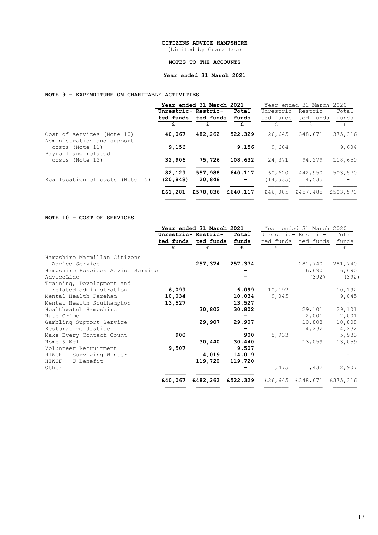(Limited by Guarantee)

### **NOTES TO THE ACCOUNTS**

### **Year ended 31 March 2021**

### **NOTE 9 – EXPENDITURE ON CHARITABLE ACTIVITIES**

|                                                          |                           | Year ended 31 March 2021 |              | Year ended 31 March 2020 |                     |             |
|----------------------------------------------------------|---------------------------|--------------------------|--------------|--------------------------|---------------------|-------------|
|                                                          | Unrestric- Restric-       |                          | Total        |                          | Unrestric- Restric- | Total       |
|                                                          | ted funds ted funds funds |                          |              |                          | ted funds ted funds | funds       |
|                                                          | £.                        | £.                       | £            | £.                       | $f_{\rm{L}}$        | $f_{\rm L}$ |
| Cost of services (Note 10)<br>Administration and support | 40,067                    | 482,262                  | 522,329      | 26,645                   | 348,671             | 375,316     |
| costs (Note 11)                                          | 9,156                     |                          | 9,156        | 9,604                    |                     | 9,604       |
| Payroll and related<br>costs (Note 12)                   | 32,906                    | 75,726                   | 108,632      | 24,371                   | 94,279              | 118,650     |
| Reallocation of costs (Note 15)                          | 82,129<br>(20, 848)       | 557,988<br>20,848        | 640,117<br>- | 60,620<br>(14, 535)      | 442,950<br>14,535   | 503,570     |
|                                                          | £61,281                   | £578,836                 | £640,117     | £46,085                  | £457,485            | £503,570    |

### **NOTE 10 – COST OF SERVICES**

|                                   |         | Year ended 31 March 2021 |          |                     | Year ended 31 March 2020 |          |
|-----------------------------------|---------|--------------------------|----------|---------------------|--------------------------|----------|
|                                   |         | Unrestric- Restric-      | Total    | Unrestric- Restric- |                          | Total    |
|                                   |         | ted funds ted funds      | funds    | ted funds           | ted funds                | funds    |
|                                   | £       | £                        | £        | £.                  | £.                       | £.       |
| Hampshire Macmillan Citizens      |         |                          |          |                     |                          |          |
| Advice Service                    |         | 257,374                  | 257,374  |                     | 281,740                  | 281,740  |
| Hampshire Hospices Advice Service |         |                          |          |                     | 6,690                    | 6,690    |
| AdviceLine                        |         |                          |          |                     | (392)                    | (392)    |
| Training, Development and         |         |                          |          |                     |                          |          |
| related administration            | 6,099   |                          | 6,099    | 10,192              |                          | 10,192   |
| Mental Health Fareham             | 10,034  |                          | 10,034   | 9,045               |                          | 9,045    |
| Mental Health Southampton         | 13,527  |                          | 13,527   |                     |                          |          |
| Healthwatch Hampshire             |         | 30,802                   | 30,802   |                     | 29,101                   | 29,101   |
| Hate Crime                        |         |                          |          |                     | 2,001                    | 2,001    |
| Gambling Support Service          |         | 29,907                   | 29,907   |                     | 10,808                   | 10,808   |
| Restorative Justice               |         |                          |          |                     | 4,232                    | 4,232    |
| Make Every Contact Count          | 900     |                          | 900      | 5,933               |                          | 5,933    |
| Home & Well                       |         | 30,440                   | 30,440   |                     | 13,059                   | 13,059   |
| Volunteer Recruitment             | 9,507   |                          | 9,507    |                     |                          |          |
| HIWCF - Surviving Winter          |         | 14,019                   | 14,019   |                     |                          |          |
| $HINCF - U Benefit$               |         | 119,720                  | 119,720  |                     |                          |          |
| Other                             |         |                          |          | 1,475               | 1,432                    | 2,907    |
|                                   | £40,067 | £482,262                 | £522,329 | £26,645             | £348,671                 | £375,316 |
|                                   |         |                          |          |                     |                          |          |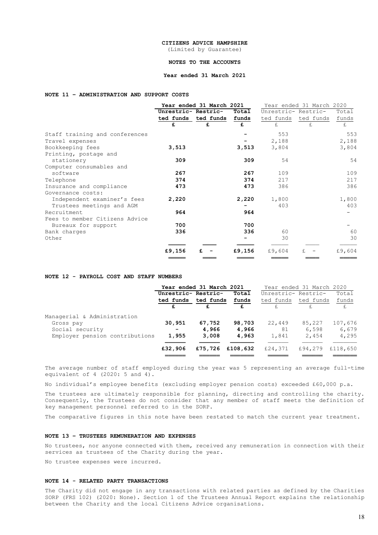(Limited by Guarantee)

### **NOTES TO THE ACCOUNTS**

### **Year ended 31 March 2021**

### **NOTE 11 – ADMINISTRATION AND SUPPORT COSTS**

|                                | Year ended 31 March 2021 |                           |        | Year ended 31 March 2020 |                     |        |  |
|--------------------------------|--------------------------|---------------------------|--------|--------------------------|---------------------|--------|--|
|                                | Unrestric- Restric-      |                           | Total  | Unrestric- Restric-      |                     | Total  |  |
|                                |                          | ted funds ted funds funds |        |                          | ted funds ted funds | funds  |  |
|                                | £                        | £                         | £      | £                        | £.                  | £      |  |
| Staff training and conferences |                          |                           |        | 553                      |                     | 553    |  |
| Travel expenses                |                          |                           |        | 2,188                    |                     | 2,188  |  |
| Bookkeeping fees               | 3,513                    |                           | 3,513  | 3,804                    |                     | 3,804  |  |
| Printing, postage and          |                          |                           |        |                          |                     |        |  |
| stationery                     | 309                      |                           | 309    | 54                       |                     | 54     |  |
| Computer consumables and       |                          |                           |        |                          |                     |        |  |
| software                       | 267                      |                           | 267    | 109                      |                     | 109    |  |
| Telephone                      | 374                      |                           | 374    | 217                      |                     | 217    |  |
| Insurance and compliance       | 473                      |                           | 473    | 386                      |                     | 386    |  |
| Governance costs:              |                          |                           |        |                          |                     |        |  |
| Independent examiner's fees    | 2,220                    |                           | 2,220  | 1,800                    |                     | 1,800  |  |
| Trustees meetings and AGM      |                          |                           |        | 403                      |                     | 403    |  |
| Recruitment                    | 964                      |                           | 964    |                          |                     |        |  |
| Fees to member Citizens Advice |                          |                           |        |                          |                     |        |  |
| Bureaux for support            | 700                      |                           | 700    |                          |                     |        |  |
| Bank charges                   | 336                      |                           | 336    | 60                       |                     | 60     |  |
| Other                          |                          |                           |        | 30                       |                     | 30     |  |
|                                | £9,156                   |                           | £9,156 | £9,604                   |                     | £9,604 |  |
|                                |                          |                           |        |                          |                     |        |  |

### **NOTE 12 - PAYROLL COST AND STAFF NUMBERS**

|                                |                     | Year ended 31 March 2021 |          | Year ended 31 March 2020 |           |          |
|--------------------------------|---------------------|--------------------------|----------|--------------------------|-----------|----------|
|                                | Unrestric- Restric- |                          | Total    | Unrestric- Restric-      |           | Total    |
|                                | ted funds ted funds |                          | funds    | ted funds                | ted funds | funds    |
|                                | £                   | £                        | £        |                          |           | £        |
| Managerial & Administration    |                     |                          |          |                          |           |          |
| Gross pay                      | 30,951              | 67,752                   | 98,703   | 22,449                   | 85,227    | 107,676  |
| Social security                | -                   | 4,966                    | 4,966    | 81                       | 6,598     | 6,679    |
| Employer pension contributions | 1,955               | 3,008                    | 4,963    | 1,841                    | 2,454     | 4,295    |
|                                | £32,906             | £75,726                  | £108,632 | £24,371                  | £94,279   | £118,650 |
|                                |                     |                          |          |                          |           |          |

The average number of staff employed during the year was 5 representing an average full-time equivalent of 4 (2020: 5 and 4).

No individual's employee benefits (excluding employer pension costs) exceeded £60,000 p.a.

The trustees are ultimately responsible for planning, directing and controlling the charity. Consequently, the Trustees do not consider that any member of staff meets the definition of key management personnel referred to in the SORP.

The comparative figures in this note have been restated to match the current year treatment.

### **NOTE 13 – TRUSTEES REMUNERATION AND EXPENSES**

No trustees, nor anyone connected with them, received any remuneration in connection with their services as trustees of the Charity during the year.

No trustee expenses were incurred.

### **NOTE 14 - RELATED PARTY TRANSACTIONS**

The Charity did not engage in any transactions with related parties as defined by the Charities SORP (FRS 102) (2020: None). Section 1 of the Trustees Annual Report explains the relationship between the Charity and the local Citizens Advice organisations.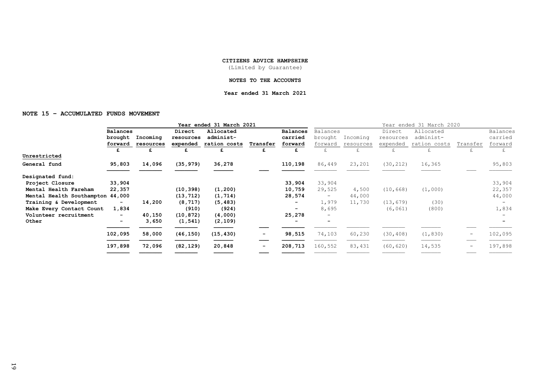(Limited by Guarantee)

### **NOTES TO THE ACCOUNTS**

### **Year ended 31 March 2021**

### **NOTE 15 – ACCUMULATED FUNDS MOVEMENT**

|                                  | Year ended 31 March 2021 |           |           |              |          |                          | Year ended 31 March 2020 |           |           |              |                          |                 |
|----------------------------------|--------------------------|-----------|-----------|--------------|----------|--------------------------|--------------------------|-----------|-----------|--------------|--------------------------|-----------------|
|                                  | <b>Balances</b>          |           | Direct    | Allocated    |          | Balances                 | Balances                 |           | Direct    | Allocated    |                          | <b>Balances</b> |
|                                  | brought                  | Incoming  | resources | administ-    |          | carried                  | brought                  | Incoming  | resources | administ-    |                          | carried         |
|                                  | forward                  | resources | expended  | ration costs | Transfer | forward                  | forward                  | resources | expended  | ration costs | Transfer                 | forward         |
|                                  | £                        | £         | £         | £            | £        | £                        | £                        |           | £         | £            |                          | £               |
| Unrestricted                     |                          |           |           |              |          |                          |                          |           |           |              |                          |                 |
| General fund                     | 95,803                   | 14,096    | (35, 979) | 36,278       |          | 110,198                  | 86,449                   | 23,201    | (30, 212) | 16,365       |                          | 95,803          |
|                                  |                          |           |           |              |          |                          |                          |           |           |              |                          |                 |
| Designated fund:                 |                          |           |           |              |          |                          |                          |           |           |              |                          |                 |
| Project Closure                  | 33,904                   |           |           |              |          | 33,904                   | 33,904                   |           |           |              |                          | 33,904          |
| Mental Health Fareham            | 22,357                   |           | (10, 398) | (1, 200)     |          | 10,759                   | 29,525                   | 4,500     | (10, 668) | (1,000)      |                          | 22,357          |
| Mental Health Southampton 44,000 |                          |           | (13, 712) | (1, 714)     |          | 28,574                   | $\qquad \qquad -$        | 44,000    |           |              |                          | 44,000          |
| Training & Development           |                          | 14,200    | (8, 717)  | (5, 483)     |          | -                        | 1,979                    | 11,730    | (13, 679) | (30)         |                          |                 |
| Make Every Contact Count         | 1,834                    |           | (910)     | (924)        |          | $\overline{\phantom{a}}$ | 8,695                    |           | (6, 061)  | (800)        |                          | 1,834           |
| Volunteer recruitment            |                          | 40,150    | (10, 872) | (4,000)      |          | 25,278                   | $\qquad \qquad -$        |           |           |              |                          |                 |
| Other                            |                          | 3,650     | (1, 541)  | (2, 109)     |          | -                        | $\overline{\phantom{0}}$ |           |           |              |                          |                 |
|                                  | 102,095                  | 58,000    | (46, 150) | (15, 430)    |          | 98,515                   | 74,103                   | 60,230    | (30, 408) | (1, 830)     | $\overline{\phantom{m}}$ | 102,095         |
|                                  | 197,898                  | 72,096    | (82, 129) | 20,848       | -        | 208,713                  | 160,552                  | 83,431    | (60, 620) | 14,535       | $\qquad \qquad -$        | 197,898         |
|                                  |                          |           |           |              |          |                          |                          |           |           |              |                          |                 |